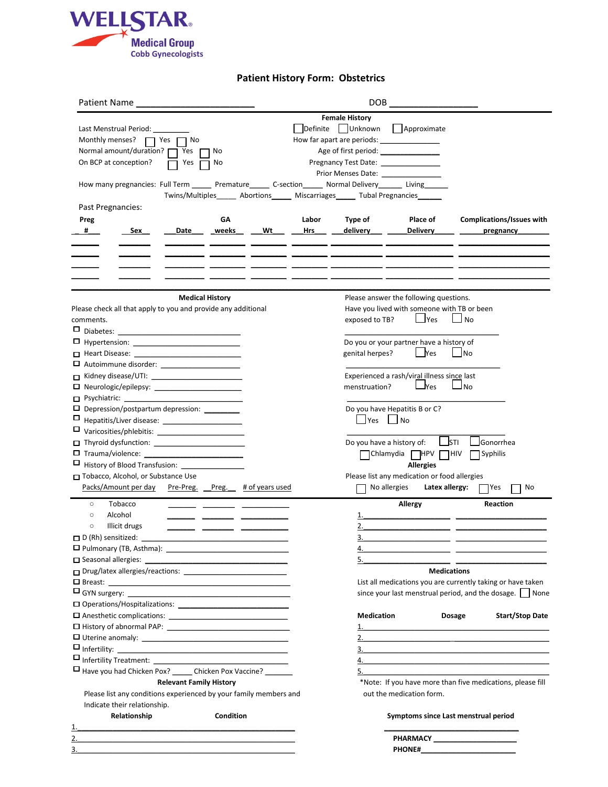

### **Patient History Form: Obstetrics**

| Patient Name                                                                                               |                                | <b>DOB</b>             |           |            |                                                                                  |                                              |                                                                                                                       |  |
|------------------------------------------------------------------------------------------------------------|--------------------------------|------------------------|-----------|------------|----------------------------------------------------------------------------------|----------------------------------------------|-----------------------------------------------------------------------------------------------------------------------|--|
|                                                                                                            |                                |                        |           |            | <b>Female History</b>                                                            |                                              |                                                                                                                       |  |
| Last Menstrual Period:                                                                                     |                                |                        |           |            | Definite Unknown                                                                 | Approximate                                  |                                                                                                                       |  |
| Monthly menses?<br>$\Box$ Yes $\Box$                                                                       | No                             |                        |           |            | How far apart are periods:                                                       |                                              |                                                                                                                       |  |
| Normal amount/duration? [                                                                                  | Yes                            | No                     |           |            | Age of first period: ________________                                            |                                              |                                                                                                                       |  |
| On BCP at conception?                                                                                      | Yes                            | No                     |           |            | Pregnancy Test Date: _______________                                             |                                              |                                                                                                                       |  |
|                                                                                                            |                                |                        |           |            | Prior Menses Date: ________________                                              |                                              |                                                                                                                       |  |
| How many pregnancies: Full Term ______ Premature______ C-section______ Normal Delivery_______ Living______ |                                |                        |           |            |                                                                                  |                                              |                                                                                                                       |  |
|                                                                                                            |                                |                        |           |            | Twins/Multiples______ Abortions______ Miscarriages______ Tubal Pregnancies______ |                                              |                                                                                                                       |  |
| Past Pregnancies:                                                                                          |                                |                        |           |            |                                                                                  |                                              |                                                                                                                       |  |
| Preg                                                                                                       |                                | GΑ                     |           | Labor      | Type of                                                                          | Place of                                     | Complications/Issues with                                                                                             |  |
| $\#$<br>Sex                                                                                                | Date                           | weeks                  | <b>Wt</b> | <b>Hrs</b> | delivery                                                                         | Delivery                                     | pregnancy                                                                                                             |  |
|                                                                                                            |                                |                        |           |            |                                                                                  |                                              |                                                                                                                       |  |
|                                                                                                            |                                |                        |           |            |                                                                                  |                                              |                                                                                                                       |  |
|                                                                                                            |                                |                        |           |            |                                                                                  |                                              |                                                                                                                       |  |
|                                                                                                            |                                |                        |           |            |                                                                                  |                                              |                                                                                                                       |  |
|                                                                                                            |                                |                        |           |            |                                                                                  |                                              |                                                                                                                       |  |
|                                                                                                            |                                | <b>Medical History</b> |           |            |                                                                                  | Please answer the following questions.       |                                                                                                                       |  |
| Please check all that apply to you and provide any additional                                              |                                |                        |           |            |                                                                                  | Have you lived with someone with TB or been  |                                                                                                                       |  |
| comments.                                                                                                  |                                |                        |           |            |                                                                                  | $\Box$ Yes<br>exposed to TB?<br>⊿ No         |                                                                                                                       |  |
|                                                                                                            |                                |                        |           |            |                                                                                  |                                              |                                                                                                                       |  |
|                                                                                                            |                                |                        |           |            |                                                                                  | Do you or your partner have a history of     |                                                                                                                       |  |
|                                                                                                            |                                |                        |           |            | genital herpes?                                                                  | l Yes                                        | <b>INo</b>                                                                                                            |  |
|                                                                                                            |                                |                        |           |            |                                                                                  |                                              |                                                                                                                       |  |
|                                                                                                            |                                |                        |           |            |                                                                                  | Experienced a rash/viral illness since last  |                                                                                                                       |  |
|                                                                                                            |                                |                        |           |            | menstruation?                                                                    | $\sqcup$ Yes                                 | J No                                                                                                                  |  |
|                                                                                                            |                                |                        |           |            |                                                                                  |                                              |                                                                                                                       |  |
| $\Box$ Depression/postpartum depression: _________                                                         |                                |                        |           |            |                                                                                  | Do you have Hepatitis B or C?                |                                                                                                                       |  |
|                                                                                                            |                                |                        |           |            | Yes                                                                              | No                                           |                                                                                                                       |  |
|                                                                                                            |                                |                        |           |            |                                                                                  |                                              |                                                                                                                       |  |
|                                                                                                            |                                |                        |           |            |                                                                                  | Do you have a history of:                    | <b>STI</b><br>Gonorrhea                                                                                               |  |
|                                                                                                            |                                |                        |           |            |                                                                                  | <b>HPV</b><br>Chlamydia                      | HIV]<br>Syphilis                                                                                                      |  |
|                                                                                                            |                                |                        |           |            |                                                                                  | <b>Allergies</b>                             |                                                                                                                       |  |
| Tobacco, Alcohol, or Substance Use                                                                         |                                |                        |           |            |                                                                                  | Please list any medication or food allergies |                                                                                                                       |  |
| Packs/Amount per day Pre-Preg. Preg. # of years used                                                       |                                |                        |           |            |                                                                                  | No allergies<br>Latex allergy:               | 7Yes<br>No                                                                                                            |  |
| Tobacco<br>$\circ$                                                                                         |                                |                        |           |            |                                                                                  | Allergy                                      | Reaction                                                                                                              |  |
| Alcohol<br>$\circ$                                                                                         |                                |                        |           |            | 1.                                                                               | <u> 1980 - Jan Barbara Barbara, ma</u>       |                                                                                                                       |  |
| Illicit drugs<br>$\circ$                                                                                   |                                |                        |           |            |                                                                                  |                                              |                                                                                                                       |  |
| $\Box$ D (Rh) sensitized:                                                                                  |                                |                        |           |            | 3.                                                                               |                                              |                                                                                                                       |  |
|                                                                                                            |                                |                        |           |            | 4.                                                                               |                                              | <u> 1989 - Johann Barn, mars ann an t-Amhainn an t-Amhainn an t-Amhainn an t-Amhainn an t-Amhainn an t-Amhainn an</u> |  |
|                                                                                                            |                                |                        |           |            | 5.                                                                               |                                              |                                                                                                                       |  |
|                                                                                                            |                                |                        |           |            |                                                                                  | <b>Medications</b>                           |                                                                                                                       |  |
|                                                                                                            |                                |                        |           |            |                                                                                  |                                              | List all medications you are currently taking or have taken                                                           |  |
|                                                                                                            |                                |                        |           |            |                                                                                  |                                              | since your last menstrual period, and the dosage.   None                                                              |  |
|                                                                                                            |                                |                        |           |            |                                                                                  |                                              |                                                                                                                       |  |
|                                                                                                            |                                |                        |           |            | <b>Medication</b>                                                                |                                              | <b>Start/Stop Date</b><br>Dosage                                                                                      |  |
|                                                                                                            |                                |                        |           |            |                                                                                  |                                              |                                                                                                                       |  |
|                                                                                                            |                                |                        |           |            |                                                                                  |                                              |                                                                                                                       |  |
|                                                                                                            |                                |                        |           |            |                                                                                  |                                              | $\overline{3}$ .                                                                                                      |  |
|                                                                                                            |                                |                        |           |            |                                                                                  |                                              |                                                                                                                       |  |
| □ Have you had Chicken Pox? ______ Chicken Pox Vaccine? ________                                           |                                |                        |           |            |                                                                                  | 5.                                           |                                                                                                                       |  |
|                                                                                                            | <b>Relevant Family History</b> |                        |           |            |                                                                                  |                                              | *Note: If you have more than five medications, please fill                                                            |  |
| Please list any conditions experienced by your family members and                                          |                                |                        |           |            |                                                                                  | out the medication form.                     |                                                                                                                       |  |
| Indicate their relationship.                                                                               |                                |                        |           |            |                                                                                  |                                              |                                                                                                                       |  |
| Relationship                                                                                               |                                | Condition              |           |            |                                                                                  |                                              | Symptoms since Last menstrual period                                                                                  |  |
|                                                                                                            |                                |                        |           |            |                                                                                  |                                              |                                                                                                                       |  |
| <u> 1989 - Johann John Stein, mars an deutscher Stein († 1989)</u>                                         |                                |                        |           |            |                                                                                  |                                              | PHARMACY _____________________                                                                                        |  |
| 3.                                                                                                         |                                |                        |           |            |                                                                                  |                                              |                                                                                                                       |  |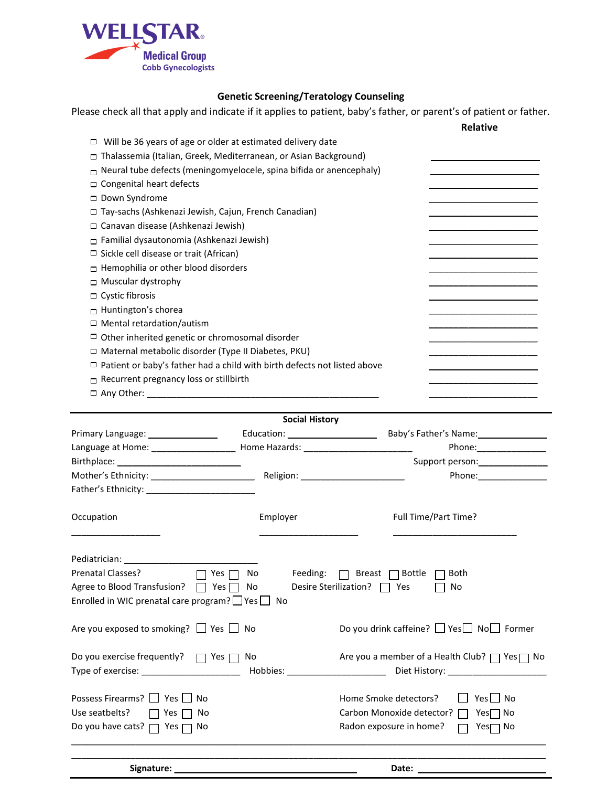

# **Genetic Screening/Teratology Counseling**

Please check all that apply and indicate if it applies to patient, baby's father, or parent's of patient or father.

|                                                                                 |                                   |                                | <b>Relative</b>                                           |
|---------------------------------------------------------------------------------|-----------------------------------|--------------------------------|-----------------------------------------------------------|
| $\Box$ Will be 36 years of age or older at estimated delivery date              |                                   |                                |                                                           |
| □ Thalassemia (Italian, Greek, Mediterranean, or Asian Background)              |                                   |                                |                                                           |
| Neural tube defects (meningomyelocele, spina bifida or anencephaly)             |                                   |                                |                                                           |
| □ Congenital heart defects                                                      |                                   |                                |                                                           |
| □ Down Syndrome                                                                 |                                   |                                |                                                           |
| □ Tay-sachs (Ashkenazi Jewish, Cajun, French Canadian)                          |                                   |                                |                                                           |
| □ Canavan disease (Ashkenazi Jewish)                                            |                                   |                                |                                                           |
| □ Familial dysautonomia (Ashkenazi Jewish)                                      |                                   |                                |                                                           |
| □ Sickle cell disease or trait (African)                                        |                                   |                                |                                                           |
| □ Hemophilia or other blood disorders                                           |                                   |                                |                                                           |
| □ Muscular dystrophy                                                            |                                   |                                |                                                           |
| □ Cystic fibrosis                                                               |                                   |                                |                                                           |
| $\Box$ Huntington's chorea                                                      |                                   |                                |                                                           |
| $\Box$ Mental retardation/autism                                                |                                   |                                |                                                           |
| $\Box$ Other inherited genetic or chromosomal disorder                          |                                   |                                |                                                           |
| □ Maternal metabolic disorder (Type II Diabetes, PKU)                           |                                   |                                |                                                           |
| $\Box$ Patient or baby's father had a child with birth defects not listed above |                                   |                                |                                                           |
| $\Box$ Recurrent pregnancy loss or stillbirth                                   |                                   |                                |                                                           |
|                                                                                 |                                   |                                |                                                           |
|                                                                                 |                                   |                                |                                                           |
|                                                                                 | <b>Social History</b>             |                                |                                                           |
| Primary Language: ___________________                                           | Education: ______________________ |                                | Baby's Father's Name: 1997                                |
|                                                                                 |                                   |                                |                                                           |
|                                                                                 |                                   |                                | Support person: _______________                           |
| Mother's Ethnicity: __________________________                                  |                                   |                                | Phone: Phone                                              |
|                                                                                 |                                   |                                |                                                           |
|                                                                                 |                                   |                                |                                                           |
| Occupation                                                                      | Employer                          | Full Time/Part Time?           |                                                           |
|                                                                                 |                                   |                                |                                                           |
|                                                                                 |                                   |                                |                                                           |
|                                                                                 |                                   |                                |                                                           |
| Prenatal Classes?<br>Yes <sub>[</sub>                                           | Feeding:<br>No                    | $\Box$ Breast $\Box$ Bottle    | Both                                                      |
| Agree to Blood Transfusion?<br>Yes                                              | No                                | Desire Sterilization?  <br>Yes | No                                                        |
| Enrolled in WIC prenatal care program? $\Box$ Yes $\Box$                        | No                                |                                |                                                           |
|                                                                                 |                                   |                                |                                                           |
| Are you exposed to smoking? $\Box$ Yes $\Box$ No                                |                                   |                                | Do you drink caffeine? $\Box$ Yes $\Box$ No $\Box$ Former |
|                                                                                 |                                   |                                |                                                           |
| Do you exercise frequently? $\Box$ Yes $\Box$                                   | No                                |                                | Are you a member of a Health Club? □ Yes□ No              |
| Type of exercise: Type of exercise:                                             |                                   |                                |                                                           |
|                                                                                 |                                   |                                |                                                           |
| Possess Firearms? Pes<br>No                                                     |                                   | Home Smoke detectors?          | $Yes \bigsqcup No$                                        |
| Use seatbelts?<br>l Yes<br>No                                                   |                                   | Carbon Monoxide detector?      | $Yes \Box No$                                             |
| Do you have cats? $\Box$ Yes $\Box$ No                                          |                                   | Radon exposure in home?        | Yes <b>□</b> No                                           |
|                                                                                 |                                   |                                |                                                           |
|                                                                                 |                                   |                                |                                                           |
|                                                                                 |                                   |                                |                                                           |
| Signature: _                                                                    |                                   | Date: $\_\_$                   |                                                           |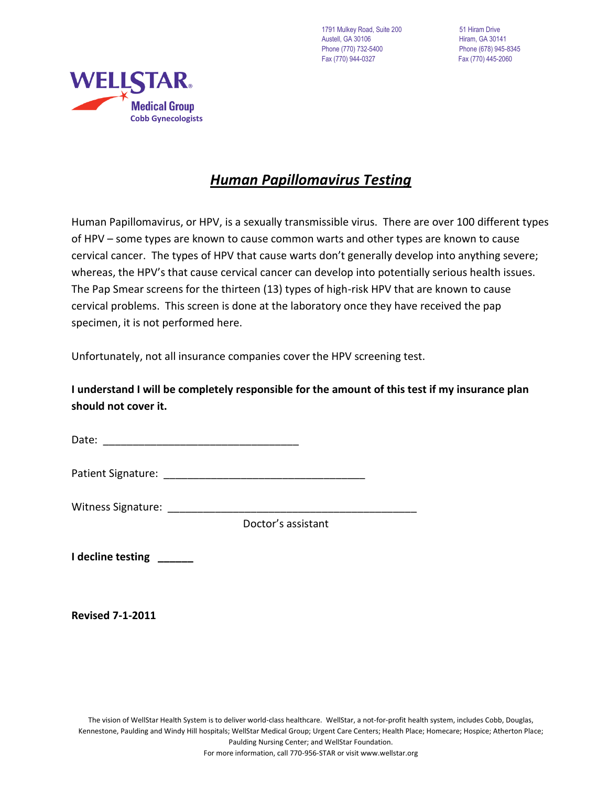1791 Mulkey Road, Suite 200 51 Hiram Drive Austell, GA 30106 **Hiram, GA 30141** Phone (770) 732-5400 Phone (678) 945-8345 Fax (770) 944-0327 Fax (770) 445-2060



# *Human Papillomavirus Testing*

Human Papillomavirus, or HPV, is a sexually transmissible virus. There are over 100 different types of HPV – some types are known to cause common warts and other types are known to cause cervical cancer. The types of HPV that cause warts don't generally develop into anything severe; whereas, the HPV's that cause cervical cancer can develop into potentially serious health issues. The Pap Smear screens for the thirteen (13) types of high-risk HPV that are known to cause cervical problems. This screen is done at the laboratory once they have received the pap specimen, it is not performed here.

Unfortunately, not all insurance companies cover the HPV screening test.

# **I understand I will be completely responsible for the amount of this test if my insurance plan should not cover it.**

Date: \_\_\_\_\_\_\_\_\_\_\_\_\_\_\_\_\_\_\_\_\_\_\_\_\_\_\_\_\_\_\_\_\_

Patient Signature: \_\_\_\_\_\_\_\_\_\_\_\_\_\_\_\_\_\_\_\_\_\_\_\_\_\_\_\_\_\_\_\_\_\_

Witness Signature: \_\_\_\_\_\_\_\_\_\_\_\_\_\_\_\_\_\_\_\_\_\_\_\_\_\_\_\_\_\_\_\_\_\_\_\_\_\_\_\_\_\_

Doctor's assistant

**I decline testing \_\_\_\_\_\_**

**Revised 7-1-2011**

For more information, call 770-956-STAR or visit www.wellstar.org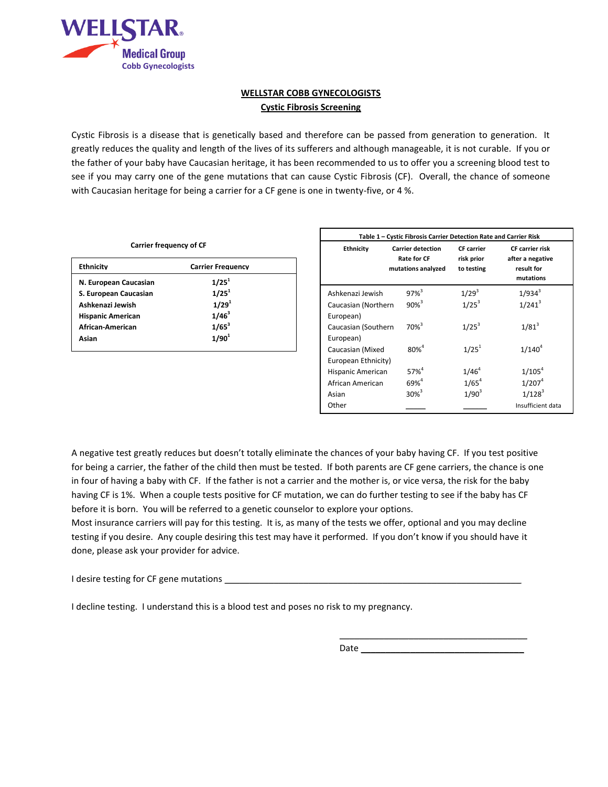

#### **WELLSTAR COBB GYNECOLOGISTS Cystic Fibrosis Screening**

Cystic Fibrosis is a disease that is genetically based and therefore can be passed from generation to generation. It greatly reduces the quality and length of the lives of its sufferers and although manageable, it is not curable. If you or the father of your baby have Caucasian heritage, it has been recommended to us to offer you a screening blood test to see if you may carry one of the gene mutations that can cause Cystic Fibrosis (CF). Overall, the chance of someone with Caucasian heritage for being a carrier for a CF gene is one in twenty-five, or 4 %.

| <b>Carrier Frequency</b> |
|--------------------------|
| $1/25^1$                 |
| $1/25^1$                 |
| 1/29 <sup>1</sup>        |
| $1/46^3$                 |
| $1/65^{3}$               |
| $1/90^{1}$               |
|                          |

| Table 1 - Cystic Fibrosis Carrier Detection Rate and Carrier Risk |                                                                      |                                               |                                                                |  |  |  |
|-------------------------------------------------------------------|----------------------------------------------------------------------|-----------------------------------------------|----------------------------------------------------------------|--|--|--|
| <b>Ethnicity</b>                                                  | <b>Carrier detection</b><br><b>Rate for CF</b><br>mutations analyzed | <b>CF</b> carrier<br>risk prior<br>to testing | CF carrier risk<br>after a negative<br>result for<br>mutations |  |  |  |
| Ashkenazi Jewish                                                  | $97\%$ <sup>3</sup>                                                  | $1/29^{3}$                                    | $1/934^{3}$                                                    |  |  |  |
| Caucasian (Northern                                               | $90%^{3}$                                                            | $1/25^3$                                      | $1/241^3$                                                      |  |  |  |
| European)                                                         |                                                                      |                                               |                                                                |  |  |  |
| Caucasian (Southern                                               | $70\%$ <sup>3</sup>                                                  | $1/25^3$                                      | $1/81^{3}$                                                     |  |  |  |
| European)                                                         |                                                                      |                                               |                                                                |  |  |  |
| Caucasian (Mixed                                                  | $80%^{4}$                                                            | $1/25^1$                                      | $1/140^{4}$                                                    |  |  |  |
| European Ethnicity)                                               |                                                                      |                                               |                                                                |  |  |  |
| Hispanic American                                                 | $57%^{4}$                                                            | $1/46^{4}$                                    | $1/105^{4}$                                                    |  |  |  |
| African American                                                  | $69%^{4}$                                                            | $1/65^4$                                      | 1/207 <sup>4</sup>                                             |  |  |  |
| Asian                                                             | $30\%$ <sup>3</sup>                                                  | $1/90^{3}$                                    | $1/128^{3}$                                                    |  |  |  |
| Other                                                             |                                                                      |                                               | Insufficient data                                              |  |  |  |

 $\overline{\phantom{a}}$  , where  $\overline{\phantom{a}}$  , where  $\overline{\phantom{a}}$  , where  $\overline{\phantom{a}}$  ,  $\overline{\phantom{a}}$  ,  $\overline{\phantom{a}}$  ,  $\overline{\phantom{a}}$  ,  $\overline{\phantom{a}}$  ,  $\overline{\phantom{a}}$  ,  $\overline{\phantom{a}}$  ,  $\overline{\phantom{a}}$  ,  $\overline{\phantom{a}}$  ,  $\overline{\phantom{a}}$  ,  $\overline{\phantom{a}}$  ,  $\overline{\phantom$ 

A negative test greatly reduces but doesn't totally eliminate the chances of your baby having CF. If you test positive for being a carrier, the father of the child then must be tested. If both parents are CF gene carriers, the chance is one in four of having a baby with CF. If the father is not a carrier and the mother is, or vice versa, the risk for the baby having CF is 1%. When a couple tests positive for CF mutation, we can do further testing to see if the baby has CF before it is born. You will be referred to a genetic counselor to explore your options.

Most insurance carriers will pay for this testing. It is, as many of the tests we offer, optional and you may decline testing if you desire. Any couple desiring this test may have it performed. If you don't know if you should have it done, please ask your provider for advice.

I desire testing for CF gene mutations \_

I decline testing. I understand this is a blood test and poses no risk to my pregnancy.

Date  $\Box$